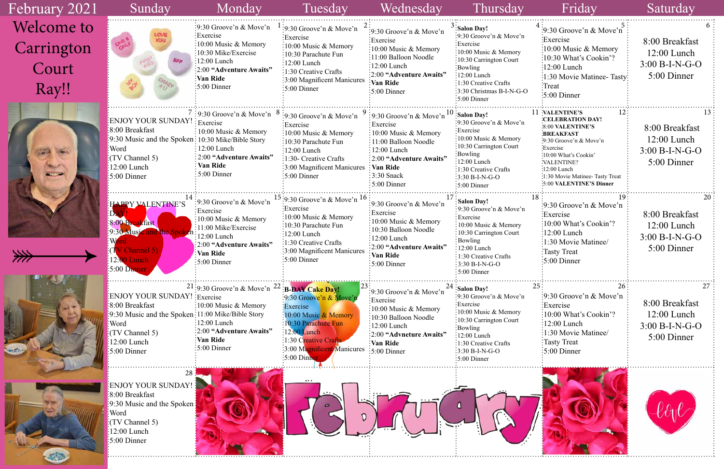| February 2021                                     | Sunday                                                                                                                                                                             | Monday                                                                                                                                                                                             | Tuesday                                                                                                                                                                                                                                        | Wednesday                                                                                                                                                                                                         | Thursday                                                                                                                                                                                                                                                                        | Friday                                                                                                                                                                                                                                                                                   | Saturday                                                           |
|---------------------------------------------------|------------------------------------------------------------------------------------------------------------------------------------------------------------------------------------|----------------------------------------------------------------------------------------------------------------------------------------------------------------------------------------------------|------------------------------------------------------------------------------------------------------------------------------------------------------------------------------------------------------------------------------------------------|-------------------------------------------------------------------------------------------------------------------------------------------------------------------------------------------------------------------|---------------------------------------------------------------------------------------------------------------------------------------------------------------------------------------------------------------------------------------------------------------------------------|------------------------------------------------------------------------------------------------------------------------------------------------------------------------------------------------------------------------------------------------------------------------------------------|--------------------------------------------------------------------|
| <b>Welcome to</b><br>Carrington<br>Court<br>Ray!! | <b>ROU</b>                                                                                                                                                                         | :9:30 Groove'n & Move'n<br>Exercise:<br>$\frac{1}{2}10:00$ Music & Memory<br>:10:30 Mike/Exercise<br>$\frac{1}{2}12:00$ Lunch<br>:2:00 "Adventure Awaits"<br>:Van Ride<br>$\frac{1}{2}$ :00 Dinner | :9:30 Groove'n $\&$ Move'n<br>Exercise<br>$\frac{1}{2}10:00$ Music & Memory<br>:10:30 Parachute Fun<br>$\frac{12:00}{2}$ Lunch<br>$\frac{1}{2}$ 1:30 Creative Crafts<br>:3:00 Magnificent Manicures<br>5:00 Dinner                             | :9:30 Groove'n & Move'n<br>Exercise<br>$\frac{1}{2}10:00$ Music & Memory<br>:11:00 Balloon Noodle<br>$\frac{1}{2}12:00$ Lunch<br>:2:00 "Adventure Awaits"<br><b>Van Ride</b><br>$\frac{1}{2}$ 5:00 Dinner         | $^5$ :Salon Day!<br>:9:30 Groove'n $& \text{Move'}n$<br>:Exercise<br>:10:00 Music & Memory<br>$\frac{1}{2}$ :10:30 Carrington Court<br>:Bowling<br>$:12:00$ Lunch<br>:1:30 Creative Crafts<br>:3:30 Christmas B-I-N-G-O<br>$:5:00$ Dinner                                       | :9:30 Groove'n & Move'n:<br>Exercise<br>:10:00 Music $&$ Memory<br>$\frac{10:30 \text{ What's Cookin}'}{2}$<br>$:12:00$ Lunch<br>:1:30 Movie Matinee-Tasty:<br>Treat<br>$\frac{1}{2}$ :00 Dinner                                                                                         | 8:00 Breakfast<br>$12:00$ Lunch<br>$3:00 B-I-N-G-O$<br>5:00 Dinner |
| سنه                                               | ENJOY YOUR SUNDAY!<br>8:00 Breakfast<br>$\frac{1}{2}$ 9:30 Music and the Spoken: 10:30 Mike/Bible Story<br>:Word<br>$(TV$ Channel 5)<br>$:12:00$ Lunch<br>$\frac{1}{2}$ :00 Dinner | $\frac{1}{2}$ : 9:30 Groove'n & Move'n $\frac{8}{5}$<br>: Exercise<br>$\frac{1}{2}10:00$ Music & Memory<br>$: 12:00$ Lunch<br>: 2:00 "Adventure Awaits"<br>Van Ride<br>$:5:00$ Dinner              | :9:30 Groove'n & Move'n<br>Exercise<br>$\frac{10:00 \text{ Music } \& \text{Memory}}$<br>:10:30 Parachute Fun<br>$:12:00$ Lunch<br>$\frac{1}{2}$ 1:30- Creative Crafts<br>$\frac{1}{2}$ :00 Magnificent Manicures : Van Ride<br>$:5:00$ Dinner | :9:30 Groove'n & Move'n<br>Exercise<br>$\frac{1}{2}10:00$ Music & Memory<br>: 11:00 Balloon Noodle<br>12:00 Lunch<br>$\frac{1}{2}$ :00 "Adventure Awaits"<br>$\frac{1}{2}$ :30 Snack<br>$\frac{1}{2}$ 5:00 Dinner | $10$ : Salon Day!<br>:9:30 Groove'n & Move'n<br>Exercise<br>$\frac{1}{2}10:00$ Music & Memory<br>:10:30 Carrington Court<br>$\frac{1}{2}$ Bowling<br>$\frac{1}{2}12:00$ Lunch<br>$\frac{1}{2}$ 1:30 Creative Crafts<br>$\frac{1}{2}3:30 B-I-N-G-O$<br>$\frac{1}{2}$ 5:00 Dinner | 11 VALENTINE'S<br><b>CELEBRATION DAY!</b><br>:8:00 VALENTINE'S<br><b>BREAKFAST</b><br>$\cdot$ 9:30 Groove'n & Move'n<br>Exercise <sup>:</sup><br>:10:00 What's Cookin'<br>:VALENTINE?<br>$\frac{1}{2}12:00$ Lunch<br>:1:30 Movie Matinee- Tasty Treat<br><b>:5:00 VALENTINE'S Dinner</b> | 8:00 Breakfast<br>12:00 Lunch<br>$3:00 B-I-N-G-O$<br>5:00 Dinner   |
|                                                   | <b>HAPPY VALENTINE'S</b><br>8:00 Breakfast<br>9:30 Music<br><b>Channel 5)</b><br>12:00 Lunch<br>$5:00$ Dinner                                                                      | :9:30 Groove'n $\&$ Move'n<br>Exercise<br>$\frac{1}{2}10:00$ Music & Memory<br>:11:00 Mike/Exercise<br>12:00 Lunch<br>:2:00 "Adventure Awaits"<br>Van Ride<br>$\frac{1}{2}$ 5:00 Dinner            | $15:9:30$ Groove'n & Move'n $16$<br>:Exercise<br>:10:00 Music & Memory<br>$\frac{1}{2}10:30$ Parachute Fun<br>$:12:00$ Lunch<br>:1:30 Creative Crafts<br>3:00 Magnificent Manicures<br>$\frac{1}{2}5:00$ Dinner                                | :9:30 Groove'n & Move'n<br>:Exercise<br>10:00 Music & Memory<br>10:30 Balloon Noodle<br>$\frac{1}{2}12:00$ Lunch<br>:2:00 "Adventure Awaits"<br>Van Ride<br>$:5:00$ Dinner                                        | <b>Salon Day!</b><br>:9:30 Groove'n & Move'n<br>: Exercise<br>: 10:00 Music & Memory<br>: 10:30 Carrington Court<br>: Bowling<br>12:00 Lunch<br>: 1:30 Creative Crafts<br>$3:30 B-I-N-G-O$<br>$:5:00$ Dinner                                                                    | :9:30 Groove'n & Move'n<br>:Exercise<br>:10:00 What's Cookin'?<br>$\frac{12:00}{2}$ Lunch<br>:1:30 Movie Matinee/<br>Tasty Treat<br>$:5:00$ Dinner                                                                                                                                       | 8:00 Breakfast<br>$12:00$ Lunch<br>$3:00 B-I-N-G-O$<br>5:00 Dinner |
|                                                   | ENJOY YOUR SUNDAY! : Exercise<br>:8:00 Breakfast<br>[9:30 Music and the Spoken: 11:00 Mike/Bible Story<br>:Word<br>(TV Channel 5)<br>12:00 Lunch<br>$\frac{1}{2}5:00$ Dinner       | $21:9:30$ Groove'n & Move'n $22:$ B-DAY Cake Day!<br>:10:00 Music & Memory<br>$\frac{12:00}{2}$ Lunch<br>:2:00 "Adventure Awaits"<br>Van Ride<br>$\frac{1}{2}$ 5:00 Dinner                         | :9:30 Groove'n & Move'n<br>Exercise<br>:10:00 Music $&$ Memory<br>:10:30 Parachute Fun<br>$:12:00$ Lunch<br>$\therefore$ 1:30 Creative Crafts<br>3:00 Magnificent Manicures<br>$\frac{1}{2}5:00$ Dinner                                        | $\left[9:30$ Groove'n & Move'n<br>:Exercise<br>:10:00 Music & Memory<br>:10:30 Balloon Noodle<br>$\frac{1}{2}$ :00 Lunch<br>:2:00 "Advneture Awaits"<br>Van Ride<br>$\frac{1}{2}$ :00 Dinner                      | $24$ : Salon Day!<br>:9:30 Groove'n $& \text{Move'}n$<br>:Exercise<br>:10:00 Music & Memory<br>$: 10:30$ Carrington Court<br>:Bowling<br>$:12:00$ Lunch<br>$:1:30$ Creative Crafts<br>$:3:30 B-I-N-G-O$<br>$:5:00$ Dinner                                                       | $\frac{1}{2}$ 9:30 Groove'n & Move'n<br>Exercise<br>:10:00 What's Cookin'?<br>$12:00$ Lunch<br>:1:30 Movie Matinee/<br>Tasty Treat<br>$:5:00$ Dinner                                                                                                                                     | 8:00 Breakfast<br>$12:00$ Lunch<br>$3:00 B-I-N-G-O$<br>5:00 Dinner |
|                                                   | ENJOY YOUR SUNDAY!<br>8:00 Breakfast<br>$\left[9:30 \text{ Music and the Spoken}\right]$<br>:Word<br>$(TV$ Channel 5)<br>$:12:00$ Lunch<br>$\frac{1}{2}$ 5:00 Dinner               |                                                                                                                                                                                                    |                                                                                                                                                                                                                                                |                                                                                                                                                                                                                   |                                                                                                                                                                                                                                                                                 |                                                                                                                                                                                                                                                                                          |                                                                    |

E